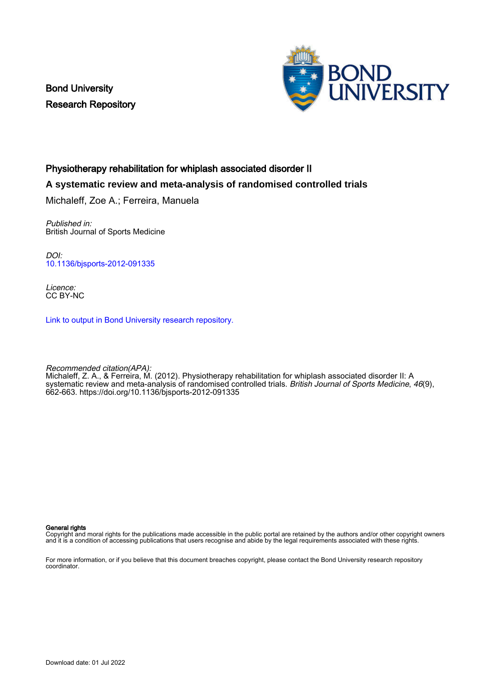Bond University Research Repository



## Physiotherapy rehabilitation for whiplash associated disorder II

## **A systematic review and meta-analysis of randomised controlled trials**

Michaleff, Zoe A.; Ferreira, Manuela

Published in: British Journal of Sports Medicine

DOI: [10.1136/bjsports-2012-091335](https://doi.org/10.1136/bjsports-2012-091335)

Licence: CC BY-NC

[Link to output in Bond University research repository.](https://research.bond.edu.au/en/publications/75bffd40-0378-4366-8c58-660a10a0cb6c)

Recommended citation(APA): Michaleff, Z. A., & Ferreira, M. (2012). Physiotherapy rehabilitation for whiplash associated disorder II: A systematic review and meta-analysis of randomised controlled trials. British Journal of Sports Medicine, 46(9), 662-663.<https://doi.org/10.1136/bjsports-2012-091335>

General rights

Copyright and moral rights for the publications made accessible in the public portal are retained by the authors and/or other copyright owners and it is a condition of accessing publications that users recognise and abide by the legal requirements associated with these rights.

For more information, or if you believe that this document breaches copyright, please contact the Bond University research repository coordinator.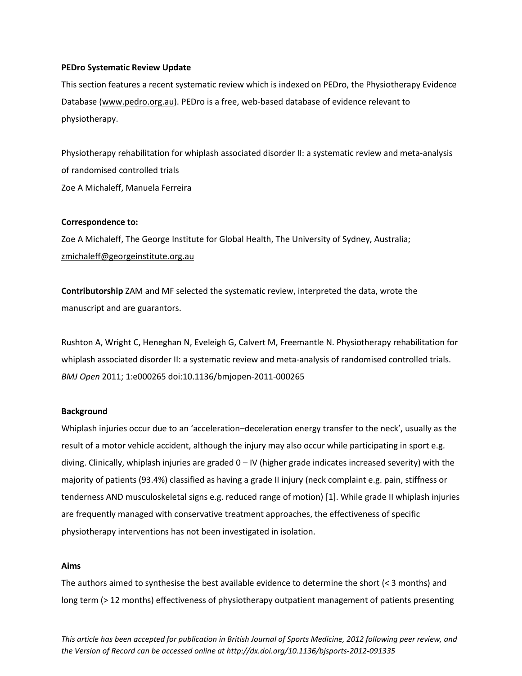## **PEDro Systematic Review Update**

This section features a recent systematic review which is indexed on PEDro, the Physiotherapy Evidence Database [\(www.pedro.org.au\)](https://webmail.thegeorgeinstitute.org/exchweb/bin/redir.asp?URL=http://www.pedro.org.au). PEDro is a free, web-based database of evidence relevant to physiotherapy.

Physiotherapy rehabilitation for whiplash associated disorder II: a systematic review and meta-analysis of randomised controlled trials Zoe A Michaleff, Manuela Ferreira

#### **Correspondence to:**

Zoe A Michaleff, The George Institute for Global Health, The University of Sydney, Australia; [zmichaleff@georgeinstitute.org.au](mailto:zmichaleff@georgeinstitute.org.au)

**Contributorship** ZAM and MF selected the systematic review, interpreted the data, wrote the manuscript and are guarantors.

Rushton A, [Wright](http://bmjopen.bmj.com/search?author1=Chris+Wright&sortspec=date&submit=Submit) C, Heneghan N, [Eveleigh](http://bmjopen.bmj.com/search?author1=Gillian+Eveleigh&sortspec=date&submit=Submit) G, [Calvert](http://bmjopen.bmj.com/search?author1=Melanie+Calvert&sortspec=date&submit=Submit) M[, Freemantle](http://bmjopen.bmj.com/search?author1=Nick+Freemantle&sortspec=date&submit=Submit) N. Physiotherapy rehabilitation for whiplash associated disorder II: a systematic review and meta-analysis of randomised controlled trials. *BMJ Open* 2011; 1:e000265 doi:10.1136/bmjopen-2011-000265

#### **Background**

Whiplash injuries occur due to an 'acceleration–deceleration energy transfer to the neck', usually as the result of a motor vehicle accident, although the injury may also occur while participating in sport e.g. diving. Clinically, whiplash injuries are graded 0 – IV (higher grade indicates increased severity) with the majority of patients (93.4%) classified as having a grade II injury (neck complaint e.g. pain, stiffness or tenderness AND musculoskeletal signs e.g. reduced range of motion) [\[1\]](#page-4-0). While grade II whiplash injuries are frequently managed with conservative treatment approaches, the effectiveness of specific physiotherapy interventions has not been investigated in isolation.

## **Aims**

The authors aimed to synthesise the best available evidence to determine the short (< 3 months) and long term (> 12 months) effectiveness of physiotherapy outpatient management of patients presenting

*This article has been accepted for publication in British Journal of Sports Medicine, 2012 following peer review, and the Version of Record can be accessed online at http://dx.doi.org/10.1136/bjsports-2012-091335*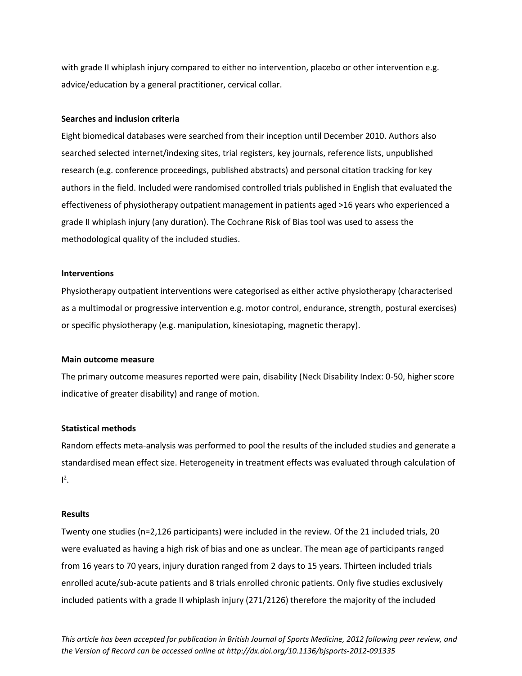with grade II whiplash injury compared to either no intervention, placebo or other intervention e.g. advice/education by a general practitioner, cervical collar.

#### **Searches and inclusion criteria**

Eight biomedical databases were searched from their inception until December 2010. Authors also searched selected internet/indexing sites, trial registers, key journals, reference lists, unpublished research (e.g. conference proceedings, published abstracts) and personal citation tracking for key authors in the field. Included were randomised controlled trials published in English that evaluated the effectiveness of physiotherapy outpatient management in patients aged >16 years who experienced a grade II whiplash injury (any duration). The Cochrane Risk of Bias tool was used to assess the methodological quality of the included studies.

## **Interventions**

Physiotherapy outpatient interventions were categorised as either active physiotherapy (characterised as a multimodal or progressive intervention e.g. motor control, endurance, strength, postural exercises) or specific physiotherapy (e.g. manipulation, kinesiotaping, magnetic therapy).

#### **Main outcome measure**

The primary outcome measures reported were pain, disability (Neck Disability Index: 0-50, higher score indicative of greater disability) and range of motion.

## **Statistical methods**

Random effects meta-analysis was performed to pool the results of the included studies and generate a standardised mean effect size. Heterogeneity in treatment effects was evaluated through calculation of  $I^2$ .

## **Results**

Twenty one studies (n=2,126 participants) were included in the review. Of the 21 included trials, 20 were evaluated as having a high risk of bias and one as unclear. The mean age of participants ranged from 16 years to 70 years, injury duration ranged from 2 days to 15 years. Thirteen included trials enrolled acute/sub-acute patients and 8 trials enrolled chronic patients. Only five studies exclusively included patients with a grade II whiplash injury (271/2126) therefore the majority of the included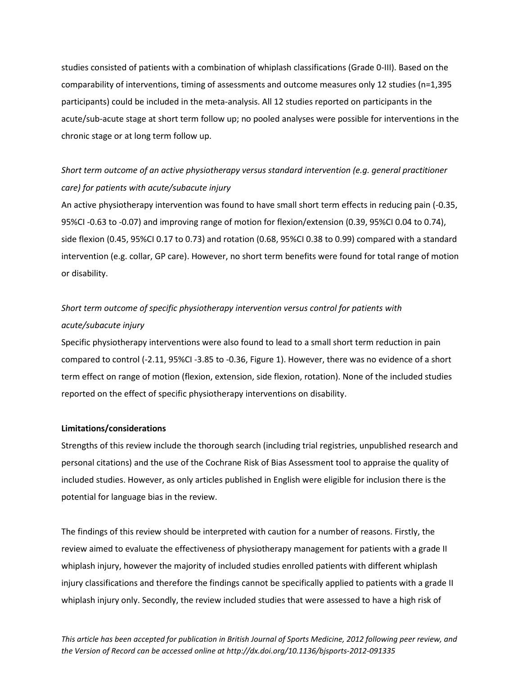studies consisted of patients with a combination of whiplash classifications (Grade 0-III). Based on the comparability of interventions, timing of assessments and outcome measures only 12 studies (n=1,395 participants) could be included in the meta-analysis. All 12 studies reported on participants in the acute/sub-acute stage at short term follow up; no pooled analyses were possible for interventions in the chronic stage or at long term follow up.

# *Short term outcome of an active physiotherapy versus standard intervention (e.g. general practitioner care) for patients with acute/subacute injury*

An active physiotherapy intervention was found to have small short term effects in reducing pain (-0.35, 95%CI -0.63 to -0.07) and improving range of motion for flexion/extension (0.39, 95%CI 0.04 to 0.74), side flexion (0.45, 95%CI 0.17 to 0.73) and rotation (0.68, 95%CI 0.38 to 0.99) compared with a standard intervention (e.g. collar, GP care). However, no short term benefits were found for total range of motion or disability.

# *Short term outcome of specific physiotherapy intervention versus control for patients with acute/subacute injury*

Specific physiotherapy interventions were also found to lead to a small short term reduction in pain compared to control (-2.11, 95%CI -3.85 to -0.36, Figure 1). However, there was no evidence of a short term effect on range of motion (flexion, extension, side flexion, rotation). None of the included studies reported on the effect of specific physiotherapy interventions on disability.

## **Limitations/considerations**

Strengths of this review include the thorough search (including trial registries, unpublished research and personal citations) and the use of the Cochrane Risk of Bias Assessment tool to appraise the quality of included studies. However, as only articles published in English were eligible for inclusion there is the potential for language bias in the review.

The findings of this review should be interpreted with caution for a number of reasons. Firstly, the review aimed to evaluate the effectiveness of physiotherapy management for patients with a grade II whiplash injury, however the majority of included studies enrolled patients with different whiplash injury classifications and therefore the findings cannot be specifically applied to patients with a grade II whiplash injury only. Secondly, the review included studies that were assessed to have a high risk of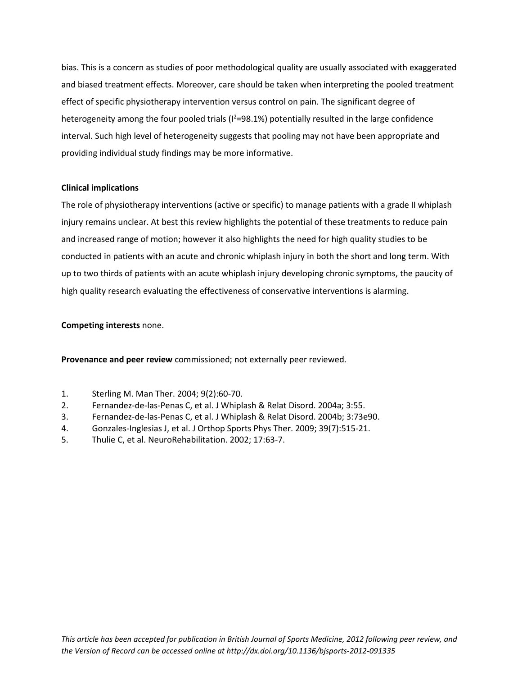bias. This is a concern as studies of poor methodological quality are usually associated with exaggerated and biased treatment effects. Moreover, care should be taken when interpreting the pooled treatment effect of specific physiotherapy intervention versus control on pain. The significant degree of heterogeneity among the four pooled trials ( $1^2$ =98.1%) potentially resulted in the large confidence interval. Such high level of heterogeneity suggests that pooling may not have been appropriate and providing individual study findings may be more informative.

## **Clinical implications**

The role of physiotherapy interventions (active or specific) to manage patients with a grade II whiplash injury remains unclear. At best this review highlights the potential of these treatments to reduce pain and increased range of motion; however it also highlights the need for high quality studies to be conducted in patients with an acute and chronic whiplash injury in both the short and long term. With up to two thirds of patients with an acute whiplash injury developing chronic symptoms, the paucity of high quality research evaluating the effectiveness of conservative interventions is alarming.

## **Competing interests** none.

**Provenance and peer review** commissioned; not externally peer reviewed.

- <span id="page-4-0"></span>1. Sterling M. Man Ther. 2004; 9(2):60-70.
- <span id="page-4-1"></span>2. Fernandez-de-las-Penas C, et al. J Whiplash & Relat Disord. 2004a; 3:55.
- 3. Fernandez-de-las-Penas C, et al. J Whiplash & Relat Disord. 2004b; 3:73e90.
- 4. Gonzales-Inglesias J, et al. J Orthop Sports Phys Ther. 2009; 39(7):515-21.
- 5. Thulie C, et al. NeuroRehabilitation. 2002; 17:63-7.